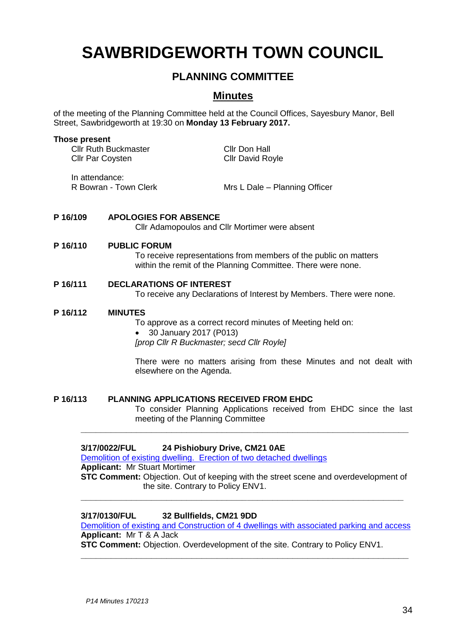# **SAWBRIDGEWORTH TOWN COUNCIL**

# **PLANNING COMMITTEE**

# **Minutes**

of the meeting of the Planning Committee held at the Council Offices, Sayesbury Manor, Bell Street, Sawbridgeworth at 19:30 on **Monday 13 February 2017.**

#### **Those present**

Cllr Ruth Buckmaster Cllr Don Hall Cllr Par Coysten Cllr David Royle

In attendance:

R Bowran - Town Clerk Mrs L Dale – Planning Officer

# **P 16/109 APOLOGIES FOR ABSENCE**

Cllr Adamopoulos and Cllr Mortimer were absent

#### **P 16/110 PUBLIC FORUM**

To receive representations from members of the public on matters within the remit of the Planning Committee. There were none.

#### **P 16/111 DECLARATIONS OF INTEREST**

To receive any Declarations of Interest by Members. There were none.

#### **P 16/112 MINUTES**

To approve as a correct record minutes of Meeting held on: 30 January 2017 (P013) *[prop Cllr R Buckmaster; secd Cllr Royle]*

There were no matters arising from these Minutes and not dealt with elsewhere on the Agenda.

#### **P 16/113 PLANNING APPLICATIONS RECEIVED FROM EHDC**

To consider Planning Applications received from EHDC since the last meeting of the Planning Committee

# **3/17/0022/FUL 24 Pishiobury Drive, CM21 0AE**

[Demolition of existing dwelling. Erection of two detached dwellings](https://publicaccess.eastherts.gov.uk/online-applications/applicationDetails.do?activeTab=summary&keyVal=OJEGYSGLMSK00) **Applicant:** Mr Stuart Mortimer **STC Comment:** Objection. Out of keeping with the street scene and overdevelopment of the site. Contrary to Policy ENV1. **\_\_\_\_\_\_\_\_\_\_\_\_\_\_\_\_\_\_\_\_\_\_\_\_\_\_\_\_\_\_\_\_\_\_\_\_\_\_\_\_\_\_\_\_\_\_\_\_\_\_\_\_\_\_\_\_\_\_\_\_\_\_\_\_**

**\_\_\_\_\_\_\_\_\_\_\_\_\_\_\_\_\_\_\_\_\_\_\_\_\_\_\_\_\_\_\_\_\_\_\_\_\_\_\_\_\_\_\_\_\_\_\_\_\_\_\_\_\_\_\_\_\_\_\_\_\_\_\_\_\_**

# **3/17/0130/FUL 32 Bullfields, CM21 9DD**

[Demolition of existing and Construction of 4 dwellings with associated parking and access](https://publicaccess.eastherts.gov.uk/online-applications/applicationDetails.do?activeTab=summary&keyVal=OK1028GLMYG00) **Applicant:** Mr T & A Jack

**\_\_\_\_\_\_\_\_\_\_\_\_\_\_\_\_\_\_\_\_\_\_\_\_\_\_\_\_\_\_\_\_\_\_\_\_\_\_\_\_\_\_\_\_\_\_\_\_\_\_\_\_\_\_\_\_\_\_\_\_\_\_\_\_\_**

**STC Comment:** Objection. Overdevelopment of the site. Contrary to Policy ENV1.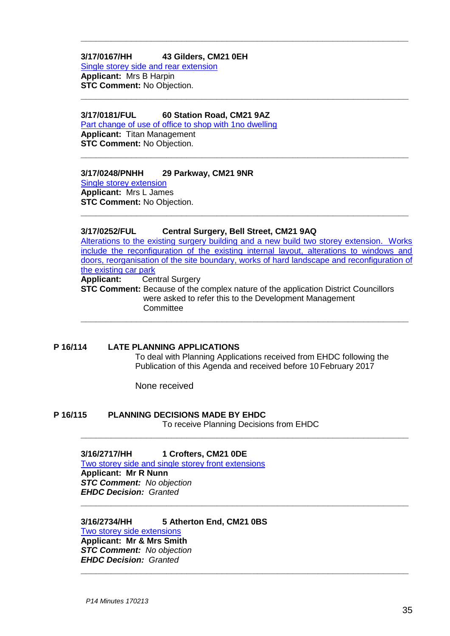## **3/17/0167/HH 43 Gilders, CM21 0EH** [Single storey side and rear extension](https://publicaccess.eastherts.gov.uk/online-applications/applicationDetails.do?activeTab=summary&keyVal=OK8QMFGL00700) **Applicant:** Mrs B Harpin **STC Comment:** No Objection. **\_\_\_\_\_\_\_\_\_\_\_\_\_\_\_\_\_\_\_\_\_\_\_\_\_\_\_\_\_\_\_\_\_\_\_\_\_\_\_\_\_\_\_\_\_\_\_\_\_\_\_\_\_\_\_\_\_\_\_\_\_\_\_\_\_**

# **3/17/0181/FUL 60 Station Road, CM21 9AZ**

[Part change of use of office to shop with 1no dwelling](https://publicaccess.eastherts.gov.uk/online-applications/applicationDetails.do?activeTab=documents&keyVal=OKC2D5GL00700) **Applicant:** Titan Management **STC Comment:** No Objection.

#### **3/17/0248/PNHH 29 Parkway, CM21 9NR**

[Single storey extension](https://publicaccess.eastherts.gov.uk/online-applications/applicationDetails.do?activeTab=summary&keyVal=OKP1S2GL00X00) **Applicant:** Mrs L James **STC Comment:** No Objection.

# **3/17/0252/FUL Central Surgery, Bell Street, CM21 9AQ**

[Alterations to the existing surgery building and a new build two storey extension. Works](https://publicaccess.eastherts.gov.uk/online-applications/applicationDetails.do?activeTab=summary&keyVal=OKP2WEGLN4V00)  [include the reconfiguration of the existing internal layout, alterations to windows and](https://publicaccess.eastherts.gov.uk/online-applications/applicationDetails.do?activeTab=summary&keyVal=OKP2WEGLN4V00)  [doors, reorganisation of the site boundary, works](https://publicaccess.eastherts.gov.uk/online-applications/applicationDetails.do?activeTab=summary&keyVal=OKP2WEGLN4V00) of hard landscape and reconfiguration of [the existing car park](https://publicaccess.eastherts.gov.uk/online-applications/applicationDetails.do?activeTab=summary&keyVal=OKP2WEGLN4V00)<br> **Applicant:** Cer **Central Surgery** 

**\_\_\_\_\_\_\_\_\_\_\_\_\_\_\_\_\_\_\_\_\_\_\_\_\_\_\_\_\_\_\_\_\_\_\_\_\_\_\_\_\_\_\_\_\_\_\_\_\_\_\_\_\_\_\_\_\_\_\_\_\_\_\_\_\_**

**\_\_\_\_\_\_\_\_\_\_\_\_\_\_\_\_\_\_\_\_\_\_\_\_\_\_\_\_\_\_\_\_\_\_\_\_\_\_\_\_\_\_\_\_\_\_\_\_\_\_\_\_\_\_\_\_\_\_\_\_\_\_\_\_\_**

**\_\_\_\_\_\_\_\_\_\_\_\_\_\_\_\_\_\_\_\_\_\_\_\_\_\_\_\_\_\_\_\_\_\_\_\_\_\_\_\_\_\_\_\_\_\_\_\_\_\_\_\_\_\_\_\_\_\_\_\_\_\_\_\_\_**

**STC Comment:** Because of the complex nature of the application District Councillors were asked to refer this to the Development Management **Committee** 

**\_\_\_\_\_\_\_\_\_\_\_\_\_\_\_\_\_\_\_\_\_\_\_\_\_\_\_\_\_\_\_\_\_\_\_\_\_\_\_\_\_\_\_\_\_\_\_\_\_\_\_\_\_\_\_\_\_\_\_\_\_\_\_\_\_**

# **P 16/114 LATE PLANNING APPLICATIONS**

To deal with Planning Applications received from EHDC following the Publication of this Agenda and received before 10 February 2017

None received

# **P 16/115 PLANNING DECISIONS MADE BY EHDC**

To receive Planning Decisions from EHDC **\_\_\_\_\_\_\_\_\_\_\_\_\_\_\_\_\_\_\_\_\_\_\_\_\_\_\_\_\_\_\_\_\_\_\_\_\_\_\_\_\_\_\_\_\_\_\_\_\_\_\_\_\_\_\_\_\_\_\_\_\_\_\_\_\_**

**\_\_\_\_\_\_\_\_\_\_\_\_\_\_\_\_\_\_\_\_\_\_\_\_\_\_\_\_\_\_\_\_\_\_\_\_\_\_\_\_\_\_\_\_\_\_\_\_\_\_\_\_\_\_\_\_\_\_\_\_\_\_\_\_\_**

#### **3/16/2717/HH 1 Crofters, CM21 0DE**

[Two storey side and single storey front extensions](https://publicaccess.eastherts.gov.uk/online-applications/applicationDetails.do?activeTab=summary&keyVal=OHRIQGGLMGM00) **Applicant: Mr R Nunn** *STC Comment: No objection EHDC Decision: Granted* **\_\_\_\_\_\_\_\_\_\_\_\_\_\_\_\_\_\_\_\_\_\_\_\_\_\_\_\_\_\_\_\_\_\_\_\_\_\_\_\_\_\_\_\_\_\_\_\_\_\_\_\_\_\_\_\_\_\_\_\_\_\_\_\_\_**

# **3/16/2734/HH 5 Atherton End, CM21 0BS** Two storey side extensions

**Applicant: Mr & Mrs Smith** *STC Comment: No objection EHDC Decision: Granted*